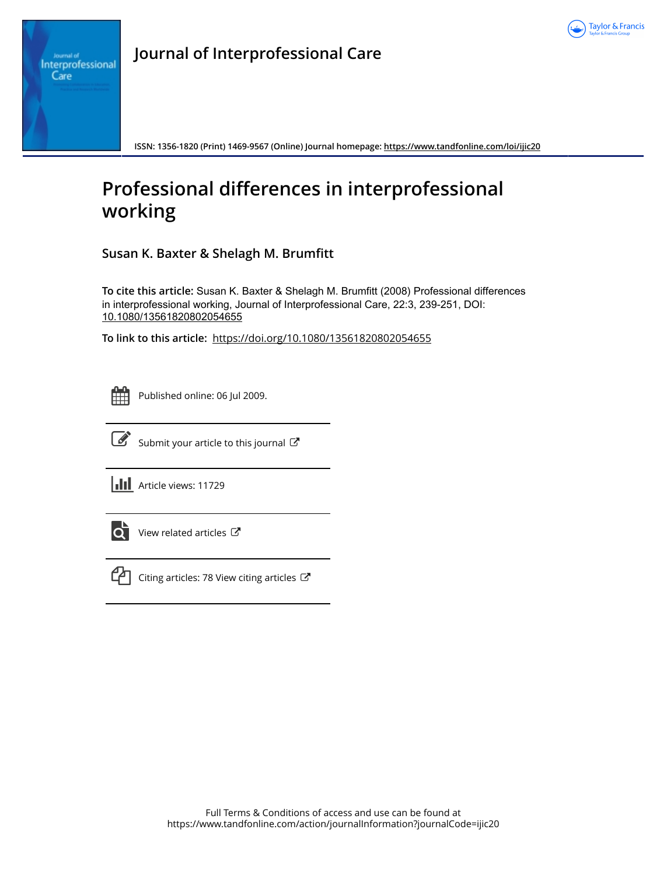

**Journal of Interprofessional Care**

**ISSN: 1356-1820 (Print) 1469-9567 (Online) Journal homepage:<https://www.tandfonline.com/loi/ijic20>**

# **Professional differences in interprofessional working**

**Susan K. Baxter & Shelagh M. Brumfitt**

**To cite this article:** Susan K. Baxter & Shelagh M. Brumfitt (2008) Professional differences in interprofessional working, Journal of Interprofessional Care, 22:3, 239-251, DOI: [10.1080/13561820802054655](https://www.tandfonline.com/action/showCitFormats?doi=10.1080/13561820802054655)

**To link to this article:** <https://doi.org/10.1080/13561820802054655>

|  | - |  |
|--|---|--|
|  |   |  |
|  |   |  |
|  |   |  |

Published online: 06 Jul 2009.



 $\overrightarrow{S}$  [Submit your article to this journal](https://www.tandfonline.com/action/authorSubmission?journalCode=ijic20&show=instructions)  $\overrightarrow{S}$ 

**III** Article views: 11729



 $\overline{Q}$  [View related articles](https://www.tandfonline.com/doi/mlt/10.1080/13561820802054655)  $\overline{C}$ 



 $\mathbb{C}$  [Citing articles: 78 View citing articles](https://www.tandfonline.com/doi/citedby/10.1080/13561820802054655#tabModule)  $\mathbb{C}^{\bullet}$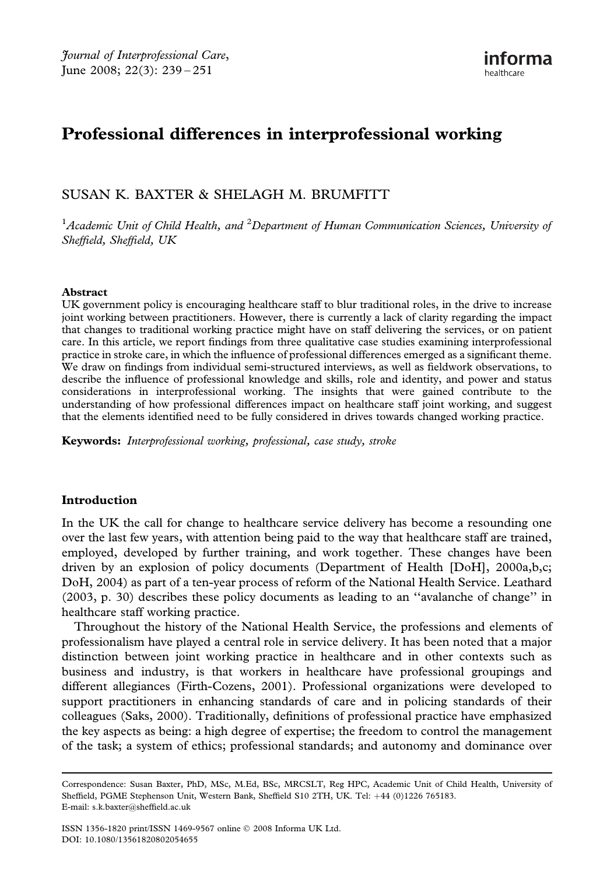# Professional differences in interprofessional working

# SUSAN K. BAXTER & SHELAGH M. BRUMFITT

<sup>1</sup> Academic Unit of Child Health, and <sup>2</sup> Department of Human Communication Sciences, University of Sheffield, Sheffield, UK

#### Abstract

UK government policy is encouraging healthcare staff to blur traditional roles, in the drive to increase joint working between practitioners. However, there is currently a lack of clarity regarding the impact that changes to traditional working practice might have on staff delivering the services, or on patient care. In this article, we report findings from three qualitative case studies examining interprofessional practice in stroke care, in which the influence of professional differences emerged as a significant theme. We draw on findings from individual semi-structured interviews, as well as fieldwork observations, to describe the influence of professional knowledge and skills, role and identity, and power and status considerations in interprofessional working. The insights that were gained contribute to the understanding of how professional differences impact on healthcare staff joint working, and suggest that the elements identified need to be fully considered in drives towards changed working practice.

Keywords: Interprofessional working, professional, case study, stroke

# Introduction

In the UK the call for change to healthcare service delivery has become a resounding one over the last few years, with attention being paid to the way that healthcare staff are trained, employed, developed by further training, and work together. These changes have been driven by an explosion of policy documents (Department of Health [DoH], 2000a,b,c; DoH, 2004) as part of a ten-year process of reform of the National Health Service. Leathard (2003, p. 30) describes these policy documents as leading to an ''avalanche of change'' in healthcare staff working practice.

Throughout the history of the National Health Service, the professions and elements of professionalism have played a central role in service delivery. It has been noted that a major distinction between joint working practice in healthcare and in other contexts such as business and industry, is that workers in healthcare have professional groupings and different allegiances (Firth-Cozens, 2001). Professional organizations were developed to support practitioners in enhancing standards of care and in policing standards of their colleagues (Saks, 2000). Traditionally, definitions of professional practice have emphasized the key aspects as being: a high degree of expertise; the freedom to control the management of the task; a system of ethics; professional standards; and autonomy and dominance over

Correspondence: Susan Baxter, PhD, MSc, M.Ed, BSc, MRCSLT, Reg HPC, Academic Unit of Child Health, University of Sheffield, PGME Stephenson Unit, Western Bank, Sheffield S10 2TH, UK. Tel: +44 (0)1226 765183. E-mail: s.k.baxter@sheffield.ac.uk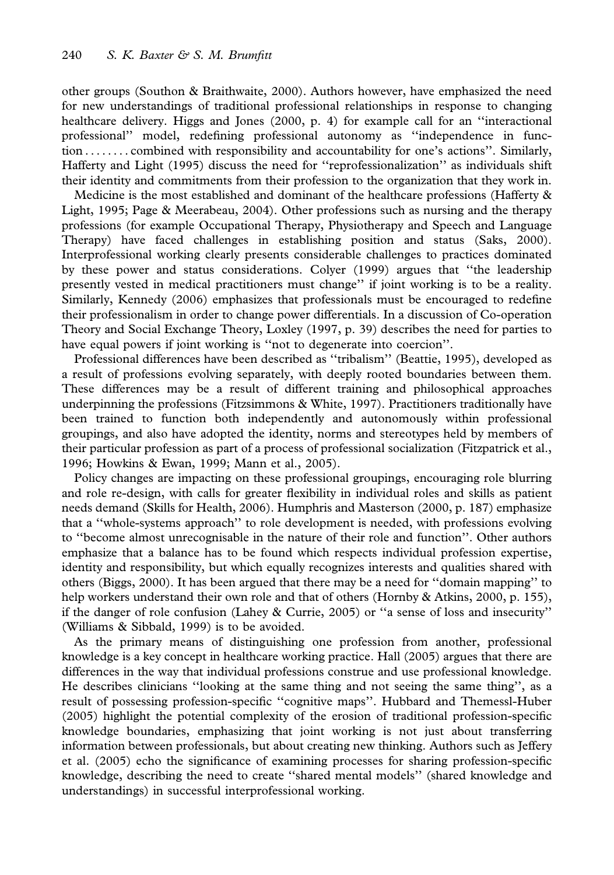other groups (Southon & Braithwaite, 2000). Authors however, have emphasized the need for new understandings of traditional professional relationships in response to changing healthcare delivery. Higgs and Jones (2000, p. 4) for example call for an "interactional professional'' model, redefining professional autonomy as ''independence in function . . . . . . . . combined with responsibility and accountability for one's actions''. Similarly, Hafferty and Light (1995) discuss the need for ''reprofessionalization'' as individuals shift their identity and commitments from their profession to the organization that they work in.

Medicine is the most established and dominant of the healthcare professions (Hafferty & Light, 1995; Page & Meerabeau, 2004). Other professions such as nursing and the therapy professions (for example Occupational Therapy, Physiotherapy and Speech and Language Therapy) have faced challenges in establishing position and status (Saks, 2000). Interprofessional working clearly presents considerable challenges to practices dominated by these power and status considerations. Colyer (1999) argues that ''the leadership presently vested in medical practitioners must change'' if joint working is to be a reality. Similarly, Kennedy (2006) emphasizes that professionals must be encouraged to redefine their professionalism in order to change power differentials. In a discussion of Co-operation Theory and Social Exchange Theory, Loxley (1997, p. 39) describes the need for parties to have equal powers if joint working is ''not to degenerate into coercion''.

Professional differences have been described as ''tribalism'' (Beattie, 1995), developed as a result of professions evolving separately, with deeply rooted boundaries between them. These differences may be a result of different training and philosophical approaches underpinning the professions (Fitzsimmons & White, 1997). Practitioners traditionally have been trained to function both independently and autonomously within professional groupings, and also have adopted the identity, norms and stereotypes held by members of their particular profession as part of a process of professional socialization (Fitzpatrick et al., 1996; Howkins & Ewan, 1999; Mann et al., 2005).

Policy changes are impacting on these professional groupings, encouraging role blurring and role re-design, with calls for greater flexibility in individual roles and skills as patient needs demand (Skills for Health, 2006). Humphris and Masterson (2000, p. 187) emphasize that a ''whole-systems approach'' to role development is needed, with professions evolving to ''become almost unrecognisable in the nature of their role and function''. Other authors emphasize that a balance has to be found which respects individual profession expertise, identity and responsibility, but which equally recognizes interests and qualities shared with others (Biggs, 2000). It has been argued that there may be a need for ''domain mapping'' to help workers understand their own role and that of others (Hornby & Atkins, 2000, p. 155), if the danger of role confusion (Lahey & Currie, 2005) or ''a sense of loss and insecurity'' (Williams & Sibbald, 1999) is to be avoided.

As the primary means of distinguishing one profession from another, professional knowledge is a key concept in healthcare working practice. Hall (2005) argues that there are differences in the way that individual professions construe and use professional knowledge. He describes clinicians ''looking at the same thing and not seeing the same thing'', as a result of possessing profession-specific ''cognitive maps''. Hubbard and Themessl-Huber (2005) highlight the potential complexity of the erosion of traditional profession-specific knowledge boundaries, emphasizing that joint working is not just about transferring information between professionals, but about creating new thinking. Authors such as Jeffery et al. (2005) echo the significance of examining processes for sharing profession-specific knowledge, describing the need to create ''shared mental models'' (shared knowledge and understandings) in successful interprofessional working.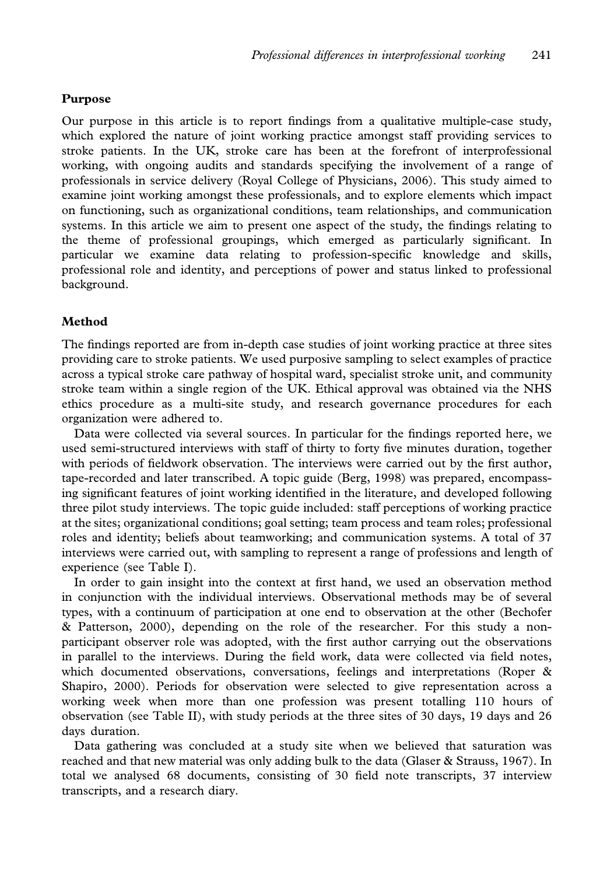#### Purpose

Our purpose in this article is to report findings from a qualitative multiple-case study, which explored the nature of joint working practice amongst staff providing services to stroke patients. In the UK, stroke care has been at the forefront of interprofessional working, with ongoing audits and standards specifying the involvement of a range of professionals in service delivery (Royal College of Physicians, 2006). This study aimed to examine joint working amongst these professionals, and to explore elements which impact on functioning, such as organizational conditions, team relationships, and communication systems. In this article we aim to present one aspect of the study, the findings relating to the theme of professional groupings, which emerged as particularly significant. In particular we examine data relating to profession-specific knowledge and skills, professional role and identity, and perceptions of power and status linked to professional background.

### Method

The findings reported are from in-depth case studies of joint working practice at three sites providing care to stroke patients. We used purposive sampling to select examples of practice across a typical stroke care pathway of hospital ward, specialist stroke unit, and community stroke team within a single region of the UK. Ethical approval was obtained via the NHS ethics procedure as a multi-site study, and research governance procedures for each organization were adhered to.

Data were collected via several sources. In particular for the findings reported here, we used semi-structured interviews with staff of thirty to forty five minutes duration, together with periods of fieldwork observation. The interviews were carried out by the first author, tape-recorded and later transcribed. A topic guide (Berg, 1998) was prepared, encompassing significant features of joint working identified in the literature, and developed following three pilot study interviews. The topic guide included: staff perceptions of working practice at the sites; organizational conditions; goal setting; team process and team roles; professional roles and identity; beliefs about teamworking; and communication systems. A total of 37 interviews were carried out, with sampling to represent a range of professions and length of experience (see Table I).

In order to gain insight into the context at first hand, we used an observation method in conjunction with the individual interviews. Observational methods may be of several types, with a continuum of participation at one end to observation at the other (Bechofer & Patterson, 2000), depending on the role of the researcher. For this study a nonparticipant observer role was adopted, with the first author carrying out the observations in parallel to the interviews. During the field work, data were collected via field notes, which documented observations, conversations, feelings and interpretations (Roper & Shapiro, 2000). Periods for observation were selected to give representation across a working week when more than one profession was present totalling 110 hours of observation (see Table II), with study periods at the three sites of 30 days, 19 days and 26 days duration.

Data gathering was concluded at a study site when we believed that saturation was reached and that new material was only adding bulk to the data (Glaser & Strauss, 1967). In total we analysed 68 documents, consisting of 30 field note transcripts, 37 interview transcripts, and a research diary.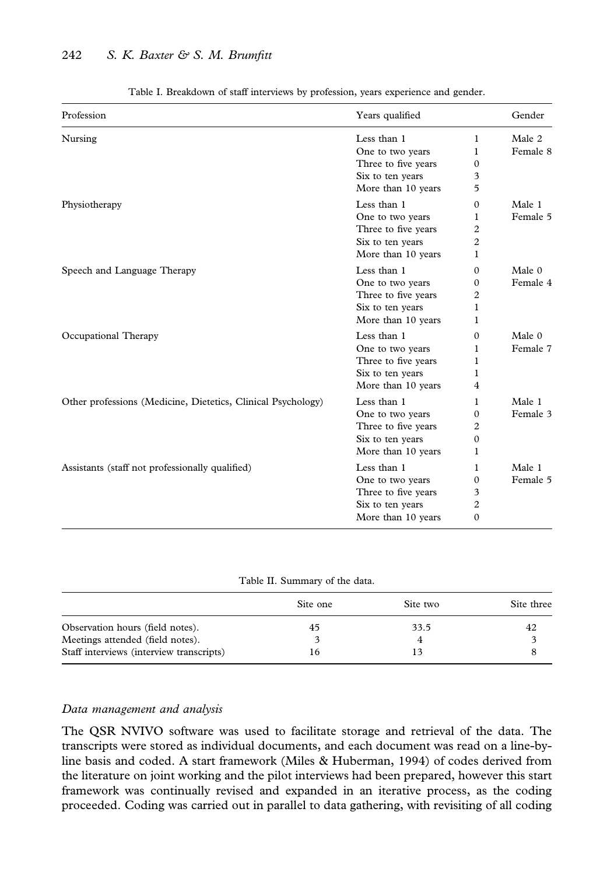| Less than 1<br>Male 2<br>Nursing<br>$\mathbf{1}$<br>$\mathbf{1}$<br>One to two years<br>Three to five years<br>0<br>Six to ten years<br>3<br>More than 10 years<br>5<br>Less than 1<br>Male 1<br>Physiotherapy<br>$\Omega$<br>One to two years<br>1<br>Three to five years<br>$\overline{c}$<br>2<br>Six to ten years<br>More than 10 years<br>$\mathbf{1}$<br>Less than 1<br>Male 0<br>Speech and Language Therapy<br>$\Omega$<br>One to two years<br>$\Omega$<br>Three to five years<br>2<br>Six to ten years<br>1<br>More than 10 years<br>1<br>Less than 1<br>Male 0<br>Occupational Therapy<br>0<br>One to two years<br>$\mathbf{1}$<br>Three to five years<br>$\mathbf{1}$<br>Six to ten years<br>1<br>More than 10 years<br>4<br>Less than 1<br>Male 1<br>Other professions (Medicine, Dietetics, Clinical Psychology)<br>1<br>One to two years<br>$\Omega$<br>Three to five years<br>2<br>Six to ten years<br>$\Omega$<br>More than 10 years<br>1<br>Less than 1<br>Male 1<br>Assistants (staff not professionally qualified)<br>$\mathbf{1}$<br>One to two years<br>$\Omega$<br>Three to five years<br>3<br>2<br>Six to ten years<br>More than 10 years<br>$\Omega$ | Profession | Years qualified | Gender   |
|------------------------------------------------------------------------------------------------------------------------------------------------------------------------------------------------------------------------------------------------------------------------------------------------------------------------------------------------------------------------------------------------------------------------------------------------------------------------------------------------------------------------------------------------------------------------------------------------------------------------------------------------------------------------------------------------------------------------------------------------------------------------------------------------------------------------------------------------------------------------------------------------------------------------------------------------------------------------------------------------------------------------------------------------------------------------------------------------------------------------------------------------------------------------------|------------|-----------------|----------|
|                                                                                                                                                                                                                                                                                                                                                                                                                                                                                                                                                                                                                                                                                                                                                                                                                                                                                                                                                                                                                                                                                                                                                                              |            |                 | Female 8 |
|                                                                                                                                                                                                                                                                                                                                                                                                                                                                                                                                                                                                                                                                                                                                                                                                                                                                                                                                                                                                                                                                                                                                                                              |            |                 |          |
|                                                                                                                                                                                                                                                                                                                                                                                                                                                                                                                                                                                                                                                                                                                                                                                                                                                                                                                                                                                                                                                                                                                                                                              |            |                 |          |
|                                                                                                                                                                                                                                                                                                                                                                                                                                                                                                                                                                                                                                                                                                                                                                                                                                                                                                                                                                                                                                                                                                                                                                              |            |                 |          |
|                                                                                                                                                                                                                                                                                                                                                                                                                                                                                                                                                                                                                                                                                                                                                                                                                                                                                                                                                                                                                                                                                                                                                                              |            |                 |          |
|                                                                                                                                                                                                                                                                                                                                                                                                                                                                                                                                                                                                                                                                                                                                                                                                                                                                                                                                                                                                                                                                                                                                                                              |            |                 | Female 5 |
|                                                                                                                                                                                                                                                                                                                                                                                                                                                                                                                                                                                                                                                                                                                                                                                                                                                                                                                                                                                                                                                                                                                                                                              |            |                 |          |
|                                                                                                                                                                                                                                                                                                                                                                                                                                                                                                                                                                                                                                                                                                                                                                                                                                                                                                                                                                                                                                                                                                                                                                              |            |                 |          |
|                                                                                                                                                                                                                                                                                                                                                                                                                                                                                                                                                                                                                                                                                                                                                                                                                                                                                                                                                                                                                                                                                                                                                                              |            |                 |          |
|                                                                                                                                                                                                                                                                                                                                                                                                                                                                                                                                                                                                                                                                                                                                                                                                                                                                                                                                                                                                                                                                                                                                                                              |            |                 |          |
|                                                                                                                                                                                                                                                                                                                                                                                                                                                                                                                                                                                                                                                                                                                                                                                                                                                                                                                                                                                                                                                                                                                                                                              |            |                 | Female 4 |
|                                                                                                                                                                                                                                                                                                                                                                                                                                                                                                                                                                                                                                                                                                                                                                                                                                                                                                                                                                                                                                                                                                                                                                              |            |                 |          |
|                                                                                                                                                                                                                                                                                                                                                                                                                                                                                                                                                                                                                                                                                                                                                                                                                                                                                                                                                                                                                                                                                                                                                                              |            |                 |          |
|                                                                                                                                                                                                                                                                                                                                                                                                                                                                                                                                                                                                                                                                                                                                                                                                                                                                                                                                                                                                                                                                                                                                                                              |            |                 |          |
|                                                                                                                                                                                                                                                                                                                                                                                                                                                                                                                                                                                                                                                                                                                                                                                                                                                                                                                                                                                                                                                                                                                                                                              |            |                 |          |
|                                                                                                                                                                                                                                                                                                                                                                                                                                                                                                                                                                                                                                                                                                                                                                                                                                                                                                                                                                                                                                                                                                                                                                              |            |                 | Female 7 |
|                                                                                                                                                                                                                                                                                                                                                                                                                                                                                                                                                                                                                                                                                                                                                                                                                                                                                                                                                                                                                                                                                                                                                                              |            |                 |          |
|                                                                                                                                                                                                                                                                                                                                                                                                                                                                                                                                                                                                                                                                                                                                                                                                                                                                                                                                                                                                                                                                                                                                                                              |            |                 |          |
|                                                                                                                                                                                                                                                                                                                                                                                                                                                                                                                                                                                                                                                                                                                                                                                                                                                                                                                                                                                                                                                                                                                                                                              |            |                 |          |
|                                                                                                                                                                                                                                                                                                                                                                                                                                                                                                                                                                                                                                                                                                                                                                                                                                                                                                                                                                                                                                                                                                                                                                              |            |                 |          |
|                                                                                                                                                                                                                                                                                                                                                                                                                                                                                                                                                                                                                                                                                                                                                                                                                                                                                                                                                                                                                                                                                                                                                                              |            |                 | Female 3 |
|                                                                                                                                                                                                                                                                                                                                                                                                                                                                                                                                                                                                                                                                                                                                                                                                                                                                                                                                                                                                                                                                                                                                                                              |            |                 |          |
|                                                                                                                                                                                                                                                                                                                                                                                                                                                                                                                                                                                                                                                                                                                                                                                                                                                                                                                                                                                                                                                                                                                                                                              |            |                 |          |
|                                                                                                                                                                                                                                                                                                                                                                                                                                                                                                                                                                                                                                                                                                                                                                                                                                                                                                                                                                                                                                                                                                                                                                              |            |                 |          |
|                                                                                                                                                                                                                                                                                                                                                                                                                                                                                                                                                                                                                                                                                                                                                                                                                                                                                                                                                                                                                                                                                                                                                                              |            |                 |          |
|                                                                                                                                                                                                                                                                                                                                                                                                                                                                                                                                                                                                                                                                                                                                                                                                                                                                                                                                                                                                                                                                                                                                                                              |            |                 | Female 5 |
|                                                                                                                                                                                                                                                                                                                                                                                                                                                                                                                                                                                                                                                                                                                                                                                                                                                                                                                                                                                                                                                                                                                                                                              |            |                 |          |
|                                                                                                                                                                                                                                                                                                                                                                                                                                                                                                                                                                                                                                                                                                                                                                                                                                                                                                                                                                                                                                                                                                                                                                              |            |                 |          |
|                                                                                                                                                                                                                                                                                                                                                                                                                                                                                                                                                                                                                                                                                                                                                                                                                                                                                                                                                                                                                                                                                                                                                                              |            |                 |          |

Table I. Breakdown of staff interviews by profession, years experience and gender.

Table II. Summary of the data.

|                                          | Site one | Site two | Site three |
|------------------------------------------|----------|----------|------------|
| Observation hours (field notes).         | 45       | 33.5     | 42         |
| Meetings attended (field notes).         |          |          |            |
| Staff interviews (interview transcripts) |          | 13       |            |

#### Data management and analysis

The QSR NVIVO software was used to facilitate storage and retrieval of the data. The transcripts were stored as individual documents, and each document was read on a line-byline basis and coded. A start framework (Miles & Huberman, 1994) of codes derived from the literature on joint working and the pilot interviews had been prepared, however this start framework was continually revised and expanded in an iterative process, as the coding proceeded. Coding was carried out in parallel to data gathering, with revisiting of all coding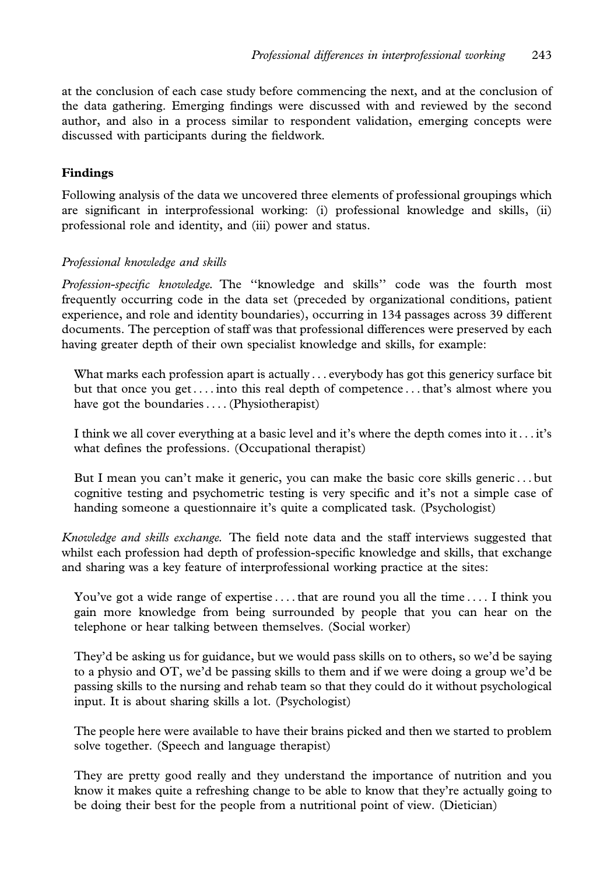at the conclusion of each case study before commencing the next, and at the conclusion of the data gathering. Emerging findings were discussed with and reviewed by the second author, and also in a process similar to respondent validation, emerging concepts were discussed with participants during the fieldwork.

# Findings

Following analysis of the data we uncovered three elements of professional groupings which are significant in interprofessional working: (i) professional knowledge and skills, (ii) professional role and identity, and (iii) power and status.

# Professional knowledge and skills

Profession-specific knowledge. The ''knowledge and skills'' code was the fourth most frequently occurring code in the data set (preceded by organizational conditions, patient experience, and role and identity boundaries), occurring in 134 passages across 39 different documents. The perception of staff was that professional differences were preserved by each having greater depth of their own specialist knowledge and skills, for example:

What marks each profession apart is actually . . . everybody has got this genericy surface bit but that once you get . . . . into this real depth of competence . . . that's almost where you have got the boundaries . . . . (Physiotherapist)

I think we all cover everything at a basic level and it's where the depth comes into it . . . it's what defines the professions. (Occupational therapist)

But I mean you can't make it generic, you can make the basic core skills generic ... but cognitive testing and psychometric testing is very specific and it's not a simple case of handing someone a questionnaire it's quite a complicated task. (Psychologist)

Knowledge and skills exchange. The field note data and the staff interviews suggested that whilst each profession had depth of profession-specific knowledge and skills, that exchange and sharing was a key feature of interprofessional working practice at the sites:

You've got a wide range of expertise .... that are round you all the time .... I think you gain more knowledge from being surrounded by people that you can hear on the telephone or hear talking between themselves. (Social worker)

They'd be asking us for guidance, but we would pass skills on to others, so we'd be saying to a physio and OT, we'd be passing skills to them and if we were doing a group we'd be passing skills to the nursing and rehab team so that they could do it without psychological input. It is about sharing skills a lot. (Psychologist)

The people here were available to have their brains picked and then we started to problem solve together. (Speech and language therapist)

They are pretty good really and they understand the importance of nutrition and you know it makes quite a refreshing change to be able to know that they're actually going to be doing their best for the people from a nutritional point of view. (Dietician)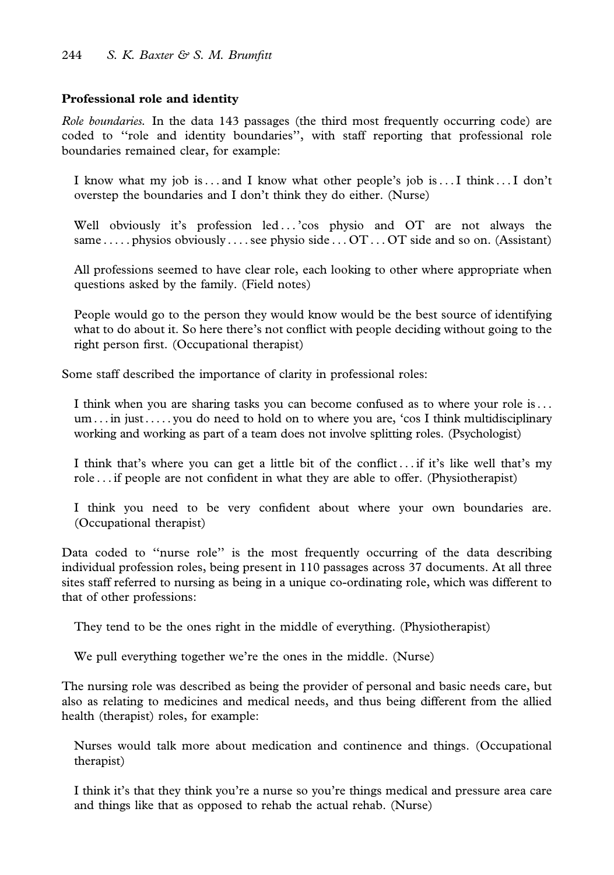# Professional role and identity

Role boundaries. In the data 143 passages (the third most frequently occurring code) are coded to ''role and identity boundaries'', with staff reporting that professional role boundaries remained clear, for example:

I know what my job is... and I know what other people's job is... I think... I don't overstep the boundaries and I don't think they do either. (Nurse)

Well obviously it's profession led ... 'cos physio and OT are not always the same ..... physios obviously .... see physio side ... OT ... OT side and so on. (Assistant)

All professions seemed to have clear role, each looking to other where appropriate when questions asked by the family. (Field notes)

People would go to the person they would know would be the best source of identifying what to do about it. So here there's not conflict with people deciding without going to the right person first. (Occupational therapist)

Some staff described the importance of clarity in professional roles:

I think when you are sharing tasks you can become confused as to where your role is. . . um . . . in just . . . . . you do need to hold on to where you are, 'cos I think multidisciplinary working and working as part of a team does not involve splitting roles. (Psychologist)

I think that's where you can get a little bit of the conflict ... if it's like well that's my role . . . if people are not confident in what they are able to offer. (Physiotherapist)

I think you need to be very confident about where your own boundaries are. (Occupational therapist)

Data coded to ''nurse role'' is the most frequently occurring of the data describing individual profession roles, being present in 110 passages across 37 documents. At all three sites staff referred to nursing as being in a unique co-ordinating role, which was different to that of other professions:

They tend to be the ones right in the middle of everything. (Physiotherapist)

We pull everything together we're the ones in the middle. (Nurse)

The nursing role was described as being the provider of personal and basic needs care, but also as relating to medicines and medical needs, and thus being different from the allied health (therapist) roles, for example:

Nurses would talk more about medication and continence and things. (Occupational therapist)

I think it's that they think you're a nurse so you're things medical and pressure area care and things like that as opposed to rehab the actual rehab. (Nurse)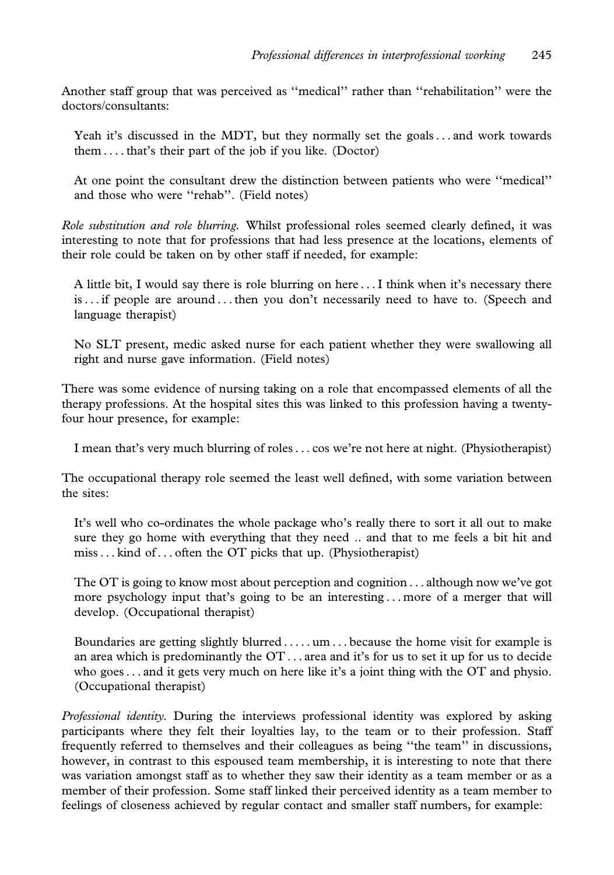Another staff group that was perceived as ''medical'' rather than ''rehabilitation'' were the doctors/consultants:

Yeah it's discussed in the MDT, but they normally set the goals ... and work towards them . . . . that's their part of the job if you like. (Doctor)

At one point the consultant drew the distinction between patients who were ''medical'' and those who were ''rehab''. (Field notes)

Role substitution and role blurring. Whilst professional roles seemed clearly defined, it was interesting to note that for professions that had less presence at the locations, elements of their role could be taken on by other staff if needed, for example:

A little bit, I would say there is role blurring on here . . . I think when it's necessary there is . . . if people are around . . . then you don't necessarily need to have to. (Speech and language therapist)

No SLT present, medic asked nurse for each patient whether they were swallowing all right and nurse gave information. (Field notes)

There was some evidence of nursing taking on a role that encompassed elements of all the therapy professions. At the hospital sites this was linked to this profession having a twentyfour hour presence, for example:

I mean that's very much blurring of roles . . . cos we're not here at night. (Physiotherapist)

The occupational therapy role seemed the least well defined, with some variation between the sites:

It's well who co-ordinates the whole package who's really there to sort it all out to make sure they go home with everything that they need .. and that to me feels a bit hit and miss . . . kind of . . . often the OT picks that up. (Physiotherapist)

The OT is going to know most about perception and cognition . . . although now we've got more psychology input that's going to be an interesting . . . more of a merger that will develop. (Occupational therapist)

Boundaries are getting slightly blurred . . . . . um . . . because the home visit for example is an area which is predominantly the  $OT \dots$  area and it's for us to set it up for us to decide who goes . . . and it gets very much on here like it's a joint thing with the OT and physio. (Occupational therapist)

Professional identity. During the interviews professional identity was explored by asking participants where they felt their loyalties lay, to the team or to their profession. Staff frequently referred to themselves and their colleagues as being ''the team'' in discussions, however, in contrast to this espoused team membership, it is interesting to note that there was variation amongst staff as to whether they saw their identity as a team member or as a member of their profession. Some staff linked their perceived identity as a team member to feelings of closeness achieved by regular contact and smaller staff numbers, for example: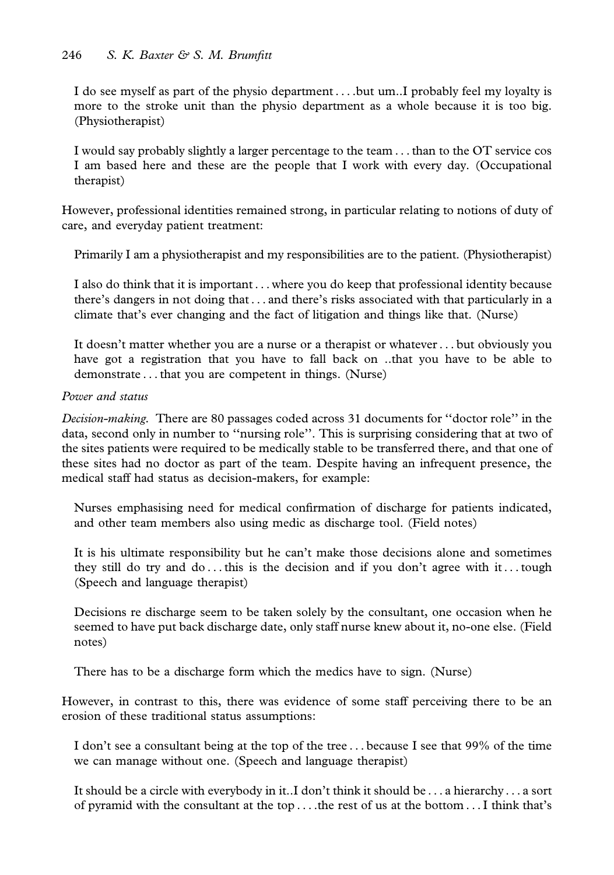I do see myself as part of the physio department . . . .but um. I probably feel my loyalty is more to the stroke unit than the physio department as a whole because it is too big. (Physiotherapist)

I would say probably slightly a larger percentage to the team . . . than to the OT service cos I am based here and these are the people that I work with every day. (Occupational therapist)

However, professional identities remained strong, in particular relating to notions of duty of care, and everyday patient treatment:

Primarily I am a physiotherapist and my responsibilities are to the patient. (Physiotherapist)

I also do think that it is important . . . where you do keep that professional identity because there's dangers in not doing that . . . and there's risks associated with that particularly in a climate that's ever changing and the fact of litigation and things like that. (Nurse)

It doesn't matter whether you are a nurse or a therapist or whatever. . . but obviously you have got a registration that you have to fall back on ..that you have to be able to demonstrate . . . that you are competent in things. (Nurse)

# Power and status

Decision-making. There are 80 passages coded across 31 documents for "doctor role" in the data, second only in number to ''nursing role''. This is surprising considering that at two of the sites patients were required to be medically stable to be transferred there, and that one of these sites had no doctor as part of the team. Despite having an infrequent presence, the medical staff had status as decision-makers, for example:

Nurses emphasising need for medical confirmation of discharge for patients indicated, and other team members also using medic as discharge tool. (Field notes)

It is his ultimate responsibility but he can't make those decisions alone and sometimes they still do try and  $do \dots$  this is the decision and if you don't agree with it... tough (Speech and language therapist)

Decisions re discharge seem to be taken solely by the consultant, one occasion when he seemed to have put back discharge date, only staff nurse knew about it, no-one else. (Field notes)

There has to be a discharge form which the medics have to sign. (Nurse)

However, in contrast to this, there was evidence of some staff perceiving there to be an erosion of these traditional status assumptions:

I don't see a consultant being at the top of the tree . . . because I see that 99% of the time we can manage without one. (Speech and language therapist)

It should be a circle with everybody in it..I don't think it should be . . . a hierarchy . . . a sort of pyramid with the consultant at the top  $\dots$  the rest of us at the bottom  $\dots$  I think that's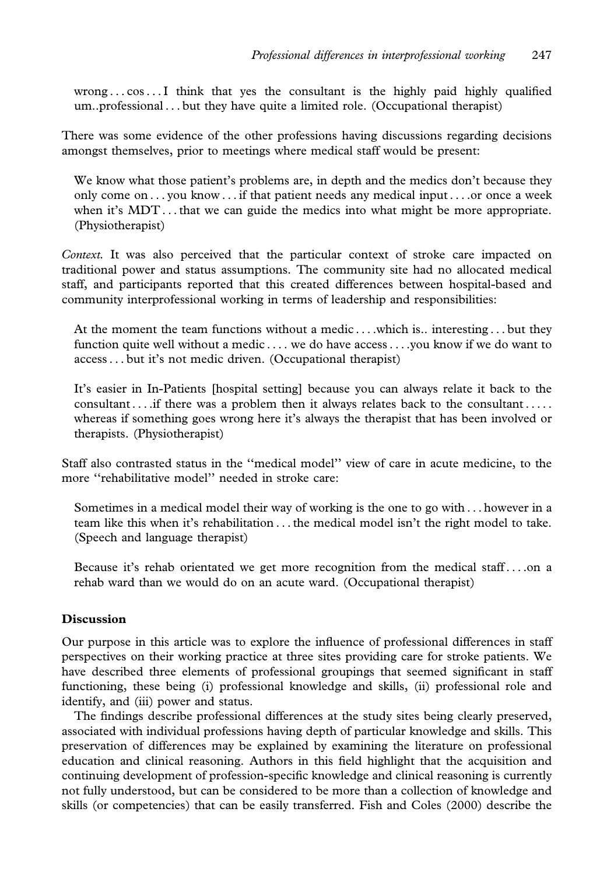wrong  $\dots$  cos  $\dots$  I think that yes the consultant is the highly paid highly qualified um..professional . . . but they have quite a limited role. (Occupational therapist)

There was some evidence of the other professions having discussions regarding decisions amongst themselves, prior to meetings where medical staff would be present:

We know what those patient's problems are, in depth and the medics don't because they only come on . . . you know . . . if that patient needs any medical input . . . .or once a week when it's MDT... that we can guide the medics into what might be more appropriate. (Physiotherapist)

Context. It was also perceived that the particular context of stroke care impacted on traditional power and status assumptions. The community site had no allocated medical staff, and participants reported that this created differences between hospital-based and community interprofessional working in terms of leadership and responsibilities:

At the moment the team functions without a medic ... .which is.. interesting ... but they function quite well without a medic . . . . we do have access . . . .you know if we do want to access . . . but it's not medic driven. (Occupational therapist)

It's easier in In-Patients [hospital setting] because you can always relate it back to the consultant . . . .if there was a problem then it always relates back to the consultant . . . . . whereas if something goes wrong here it's always the therapist that has been involved or therapists. (Physiotherapist)

Staff also contrasted status in the ''medical model'' view of care in acute medicine, to the more ''rehabilitative model'' needed in stroke care:

Sometimes in a medical model their way of working is the one to go with . . . however in a team like this when it's rehabilitation . . . the medical model isn't the right model to take. (Speech and language therapist)

Because it's rehab orientated we get more recognition from the medical staff . . . .on a rehab ward than we would do on an acute ward. (Occupational therapist)

# Discussion

Our purpose in this article was to explore the influence of professional differences in staff perspectives on their working practice at three sites providing care for stroke patients. We have described three elements of professional groupings that seemed significant in staff functioning, these being (i) professional knowledge and skills, (ii) professional role and identify, and (iii) power and status.

The findings describe professional differences at the study sites being clearly preserved, associated with individual professions having depth of particular knowledge and skills. This preservation of differences may be explained by examining the literature on professional education and clinical reasoning. Authors in this field highlight that the acquisition and continuing development of profession-specific knowledge and clinical reasoning is currently not fully understood, but can be considered to be more than a collection of knowledge and skills (or competencies) that can be easily transferred. Fish and Coles (2000) describe the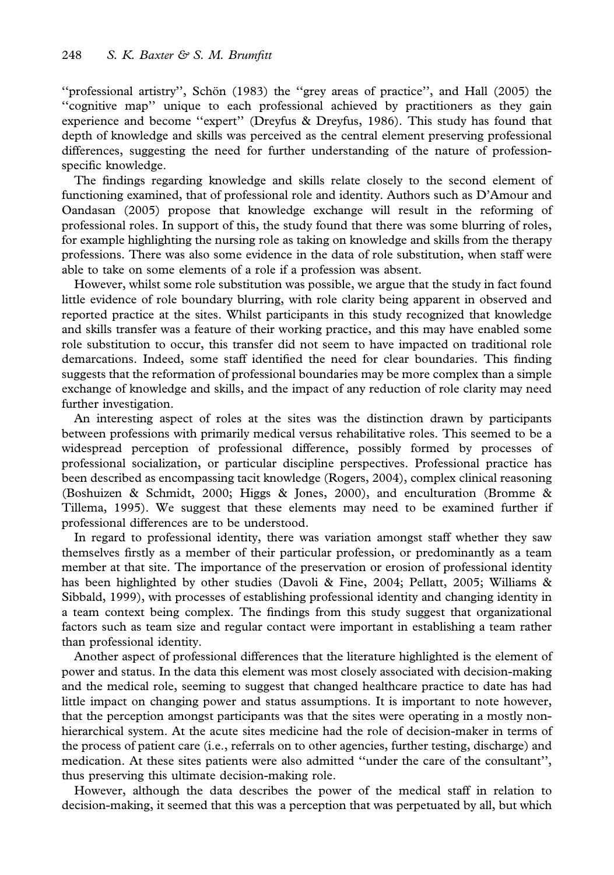"professional artistry", Schön  $(1983)$  the "grey areas of practice", and Hall  $(2005)$  the ''cognitive map'' unique to each professional achieved by practitioners as they gain experience and become ''expert'' (Dreyfus & Dreyfus, 1986). This study has found that depth of knowledge and skills was perceived as the central element preserving professional differences, suggesting the need for further understanding of the nature of professionspecific knowledge.

The findings regarding knowledge and skills relate closely to the second element of functioning examined, that of professional role and identity. Authors such as D'Amour and Oandasan (2005) propose that knowledge exchange will result in the reforming of professional roles. In support of this, the study found that there was some blurring of roles, for example highlighting the nursing role as taking on knowledge and skills from the therapy professions. There was also some evidence in the data of role substitution, when staff were able to take on some elements of a role if a profession was absent.

However, whilst some role substitution was possible, we argue that the study in fact found little evidence of role boundary blurring, with role clarity being apparent in observed and reported practice at the sites. Whilst participants in this study recognized that knowledge and skills transfer was a feature of their working practice, and this may have enabled some role substitution to occur, this transfer did not seem to have impacted on traditional role demarcations. Indeed, some staff identified the need for clear boundaries. This finding suggests that the reformation of professional boundaries may be more complex than a simple exchange of knowledge and skills, and the impact of any reduction of role clarity may need further investigation.

An interesting aspect of roles at the sites was the distinction drawn by participants between professions with primarily medical versus rehabilitative roles. This seemed to be a widespread perception of professional difference, possibly formed by processes of professional socialization, or particular discipline perspectives. Professional practice has been described as encompassing tacit knowledge (Rogers, 2004), complex clinical reasoning (Boshuizen & Schmidt, 2000; Higgs & Jones, 2000), and enculturation (Bromme & Tillema, 1995). We suggest that these elements may need to be examined further if professional differences are to be understood.

In regard to professional identity, there was variation amongst staff whether they saw themselves firstly as a member of their particular profession, or predominantly as a team member at that site. The importance of the preservation or erosion of professional identity has been highlighted by other studies (Davoli & Fine, 2004; Pellatt, 2005; Williams & Sibbald, 1999), with processes of establishing professional identity and changing identity in a team context being complex. The findings from this study suggest that organizational factors such as team size and regular contact were important in establishing a team rather than professional identity.

Another aspect of professional differences that the literature highlighted is the element of power and status. In the data this element was most closely associated with decision-making and the medical role, seeming to suggest that changed healthcare practice to date has had little impact on changing power and status assumptions. It is important to note however, that the perception amongst participants was that the sites were operating in a mostly nonhierarchical system. At the acute sites medicine had the role of decision-maker in terms of the process of patient care (i.e., referrals on to other agencies, further testing, discharge) and medication. At these sites patients were also admitted ''under the care of the consultant'', thus preserving this ultimate decision-making role.

However, although the data describes the power of the medical staff in relation to decision-making, it seemed that this was a perception that was perpetuated by all, but which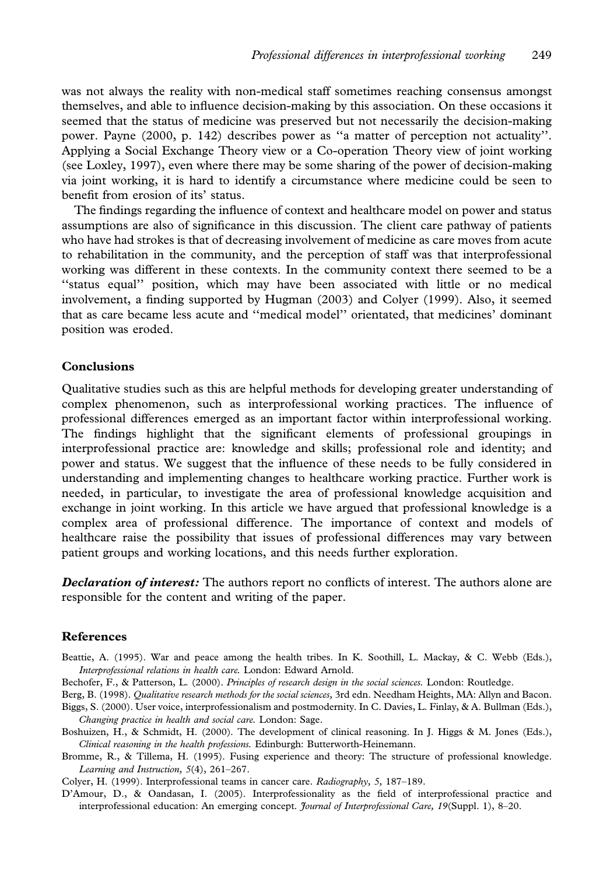was not always the reality with non-medical staff sometimes reaching consensus amongst themselves, and able to influence decision-making by this association. On these occasions it seemed that the status of medicine was preserved but not necessarily the decision-making power. Payne (2000, p. 142) describes power as ''a matter of perception not actuality''. Applying a Social Exchange Theory view or a Co-operation Theory view of joint working (see Loxley, 1997), even where there may be some sharing of the power of decision-making via joint working, it is hard to identify a circumstance where medicine could be seen to benefit from erosion of its' status.

The findings regarding the influence of context and healthcare model on power and status assumptions are also of significance in this discussion. The client care pathway of patients who have had strokes is that of decreasing involvement of medicine as care moves from acute to rehabilitation in the community, and the perception of staff was that interprofessional working was different in these contexts. In the community context there seemed to be a ''status equal'' position, which may have been associated with little or no medical involvement, a finding supported by Hugman (2003) and Colyer (1999). Also, it seemed that as care became less acute and ''medical model'' orientated, that medicines' dominant position was eroded.

### **Conclusions**

Qualitative studies such as this are helpful methods for developing greater understanding of complex phenomenon, such as interprofessional working practices. The influence of professional differences emerged as an important factor within interprofessional working. The findings highlight that the significant elements of professional groupings in interprofessional practice are: knowledge and skills; professional role and identity; and power and status. We suggest that the influence of these needs to be fully considered in understanding and implementing changes to healthcare working practice. Further work is needed, in particular, to investigate the area of professional knowledge acquisition and exchange in joint working. In this article we have argued that professional knowledge is a complex area of professional difference. The importance of context and models of healthcare raise the possibility that issues of professional differences may vary between patient groups and working locations, and this needs further exploration.

**Declaration of interest:** The authors report no conflicts of interest. The authors alone are responsible for the content and writing of the paper.

#### References

- Beattie, A. (1995). War and peace among the health tribes. In K. Soothill, L. Mackay, & C. Webb (Eds.), Interprofessional relations in health care. London: Edward Arnold.
- Bechofer, F., & Patterson, L. (2000). Principles of research design in the social sciences. London: Routledge.
- Berg, B. (1998). Qualitative research methods for the social sciences, 3rd edn. Needham Heights, MA: Allyn and Bacon.
- Biggs, S. (2000). User voice, interprofessionalism and postmodernity. In C. Davies, L. Finlay, & A. Bullman (Eds.), Changing practice in health and social care. London: Sage.
- Boshuizen, H., & Schmidt, H. (2000). The development of clinical reasoning. In J. Higgs & M. Jones (Eds.), Clinical reasoning in the health professions. Edinburgh: Butterworth-Heinemann.
- Bromme, R., & Tillema, H. (1995). Fusing experience and theory: The structure of professional knowledge. Learning and Instruction, 5(4), 261–267.
- Colyer, H. (1999). Interprofessional teams in cancer care. Radiography, 5, 187–189.
- D'Amour, D., & Oandasan, I. (2005). Interprofessionality as the field of interprofessional practice and interprofessional education: An emerging concept. *Journal of Interprofessional Care*, 19(Suppl. 1), 8–20.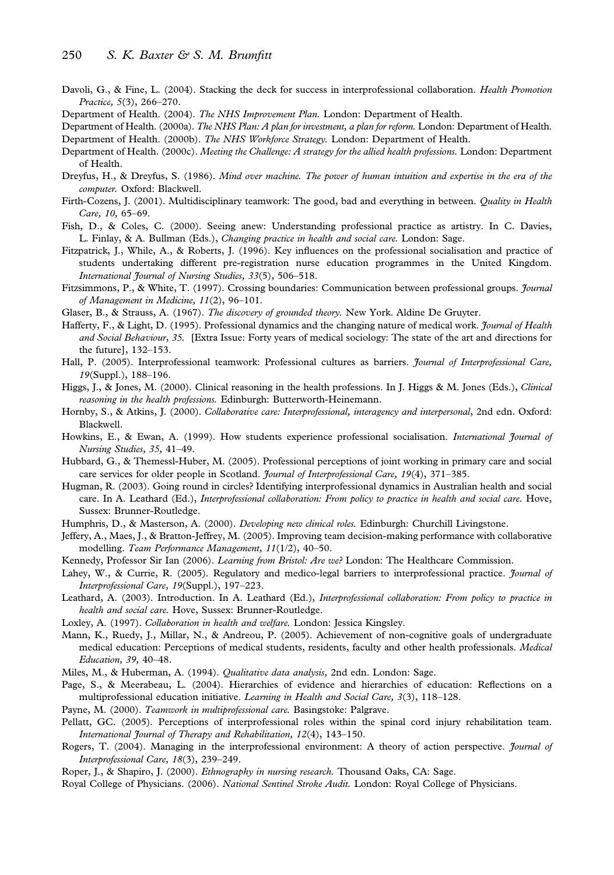- Davoli, G., & Fine, L. (2004). Stacking the deck for success in interprofessional collaboration. Health Promotion Practice, 5(3), 266–270.
- Department of Health. (2004). The NHS Improvement Plan. London: Department of Health.

Department of Health. (2000a). The NHS Plan: A plan for investment, a plan for reform. London: Department of Health. Department of Health. (2000b). The NHS Workforce Strategy. London: Department of Health.

- Department of Health. (2000c). Meeting the Challenge: A strategy for the allied health professions. London: Department of Health.
- Dreyfus, H., & Dreyfus, S. (1986). Mind over machine. The power of human intuition and expertise in the era of the computer. Oxford: Blackwell.
- Firth-Cozens, J. (2001). Multidisciplinary teamwork: The good, bad and everything in between. *Quality in Health* Care, 10, 65–69.
- Fish, D., & Coles, C. (2000). Seeing anew: Understanding professional practice as artistry. In C. Davies, L. Finlay, & A. Bullman (Eds.), Changing practice in health and social care. London: Sage.
- Fitzpatrick, J., While, A., & Roberts, J. (1996). Key influences on the professional socialisation and practice of students undertaking different pre-registration nurse education programmes in the United Kingdom. International Journal of Nursing Studies, 33(5), 506–518.
- Fitzsimmons, P., & White, T. (1997). Crossing boundaries: Communication between professional groups. Journal of Management in Medicine, 11(2), 96–101.
- Glaser, B., & Strauss, A. (1967). The discovery of grounded theory. New York. Aldine De Gruyter.
- Hafferty, F., & Light, D. (1995). Professional dynamics and the changing nature of medical work. Journal of Health and Social Behaviour, 35. [Extra Issue: Forty years of medical sociology: The state of the art and directions for the future], 132–153.
- Hall, P. (2005). Interprofessional teamwork: Professional cultures as barriers. *Journal of Interprofessional Care*, 19(Suppl.), 188–196.
- Higgs, J., & Jones, M. (2000). Clinical reasoning in the health professions. In J. Higgs & M. Jones (Eds.), Clinical reasoning in the health professions. Edinburgh: Butterworth-Heinemann.
- Hornby, S., & Atkins, J. (2000). Collaborative care: Interprofessional, interagency and interpersonal, 2nd edn. Oxford: Blackwell.
- Howkins, E., & Ewan, A. (1999). How students experience professional socialisation. International Journal of Nursing Studies, 35, 41–49.
- Hubbard, G., & Themessl-Huber, M. (2005). Professional perceptions of joint working in primary care and social care services for older people in Scotland. *Journal of Interprofessional Care*, 19(4), 371–385.
- Hugman, R. (2003). Going round in circles? Identifying interprofessional dynamics in Australian health and social care. In A. Leathard (Ed.), Interprofessional collaboration: From policy to practice in health and social care. Hove, Sussex: Brunner-Routledge.
- Humphris, D., & Masterson, A. (2000). *Developing new clinical roles*. Edinburgh: Churchill Livingstone.
- Jeffery, A., Maes, J., & Bratton-Jeffrey, M. (2005). Improving team decision-making performance with collaborative modelling. Team Performance Management, 11(1/2), 40–50.
- Kennedy, Professor Sir Ian (2006). Learning from Bristol: Are we? London: The Healthcare Commission.
- Lahey, W., & Currie, R. (2005). Regulatory and medico-legal barriers to interprofessional practice. *Journal of* Interprofessional Care, 19(Suppl.), 197–223.
- Leathard, A. (2003). Introduction. In A. Leathard (Ed.), Interprofessional collaboration: From policy to practice in health and social care. Hove, Sussex: Brunner-Routledge.
- Loxley, A. (1997). Collaboration in health and welfare. London: Jessica Kingsley.
- Mann, K., Ruedy, J., Millar, N., & Andreou, P. (2005). Achievement of non-cognitive goals of undergraduate medical education: Perceptions of medical students, residents, faculty and other health professionals. Medical Education, 39, 40–48.
- Miles, M., & Huberman, A. (1994). Qualitative data analysis, 2nd edn. London: Sage.
- Page, S., & Meerabeau, L. (2004). Hierarchies of evidence and hierarchies of education: Reflections on a multiprofessional education initiative. Learning in Health and Social Care, 3(3), 118–128.
- Payne, M. (2000). Teamwork in multiprofessional care. Basingstoke: Palgrave.
- Pellatt, GC. (2005). Perceptions of interprofessional roles within the spinal cord injury rehabilitation team. International Journal of Therapy and Rehabilitation, 12(4), 143–150.
- Rogers, T. (2004). Managing in the interprofessional environment: A theory of action perspective. *Journal of* Interprofessional Care, 18(3), 239–249.
- Roper, J., & Shapiro, J. (2000). Ethnography in nursing research. Thousand Oaks, CA: Sage.
- Royal College of Physicians. (2006). National Sentinel Stroke Audit. London: Royal College of Physicians.